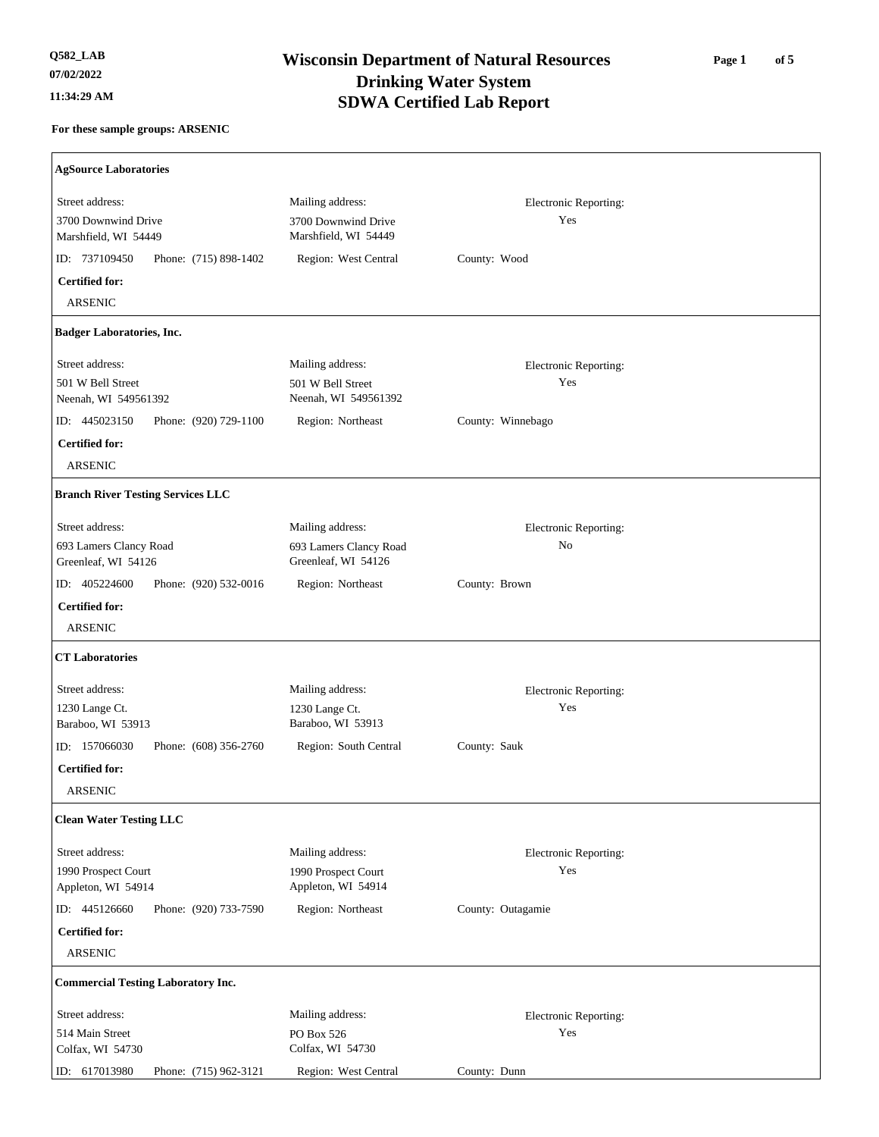| <b>AgSource Laboratories</b>                                 |                                               |                       |
|--------------------------------------------------------------|-----------------------------------------------|-----------------------|
| Street address:                                              | Mailing address:                              | Electronic Reporting: |
| 3700 Downwind Drive<br>Marshfield, WI 54449                  | 3700 Downwind Drive<br>Marshfield, WI 54449   | Yes                   |
| ID: 737109450<br>Phone: (715) 898-1402                       | Region: West Central                          | County: Wood          |
| <b>Certified for:</b>                                        |                                               |                       |
| <b>ARSENIC</b>                                               |                                               |                       |
| <b>Badger Laboratories, Inc.</b>                             |                                               |                       |
| Street address:                                              | Mailing address:                              | Electronic Reporting: |
| 501 W Bell Street<br>Neenah, WI 549561392                    | 501 W Bell Street<br>Neenah, WI 549561392     | Yes                   |
| ID: 445023150<br>Phone: (920) 729-1100                       | Region: Northeast                             | County: Winnebago     |
| <b>Certified for:</b>                                        |                                               |                       |
| <b>ARSENIC</b>                                               |                                               |                       |
| <b>Branch River Testing Services LLC</b>                     |                                               |                       |
| Street address:                                              | Mailing address:                              | Electronic Reporting: |
| 693 Lamers Clancy Road<br>Greenleaf, WI 54126                | 693 Lamers Clancy Road<br>Greenleaf, WI 54126 | No                    |
| ID: 405224600<br>Phone: (920) 532-0016                       | Region: Northeast                             | County: Brown         |
| <b>Certified for:</b><br><b>ARSENIC</b>                      |                                               |                       |
| <b>CT Laboratories</b>                                       |                                               |                       |
| Street address:                                              | Mailing address:                              | Electronic Reporting: |
| 1230 Lange Ct.<br>Baraboo, WI 53913                          | 1230 Lange Ct.<br>Baraboo, WI 53913           | Yes                   |
| ID: 157066030<br>Phone: (608) 356-2760                       | Region: South Central                         | County: Sauk          |
| <b>Certified for:</b>                                        |                                               |                       |
| <b>ARSENIC</b>                                               |                                               |                       |
| <b>Clean Water Testing LLC</b>                               |                                               |                       |
| Street address:                                              | Mailing address:                              | Electronic Reporting: |
| 1990 Prospect Court                                          | 1990 Prospect Court<br>Appleton, WI 54914     | Yes                   |
| Appleton, WI 54914<br>ID: 445126660<br>Phone: (920) 733-7590 | Region: Northeast                             | County: Outagamie     |
| <b>Certified for:</b>                                        |                                               |                       |
| <b>ARSENIC</b>                                               |                                               |                       |
| <b>Commercial Testing Laboratory Inc.</b>                    |                                               |                       |
| Street address:                                              | Mailing address:                              | Electronic Reporting: |
| 514 Main Street                                              | PO Box 526                                    | Yes                   |
| Colfax, WI 54730                                             | Colfax, WI 54730                              |                       |
| ID: 617013980<br>Phone: (715) 962-3121                       | Region: West Central                          | County: Dunn          |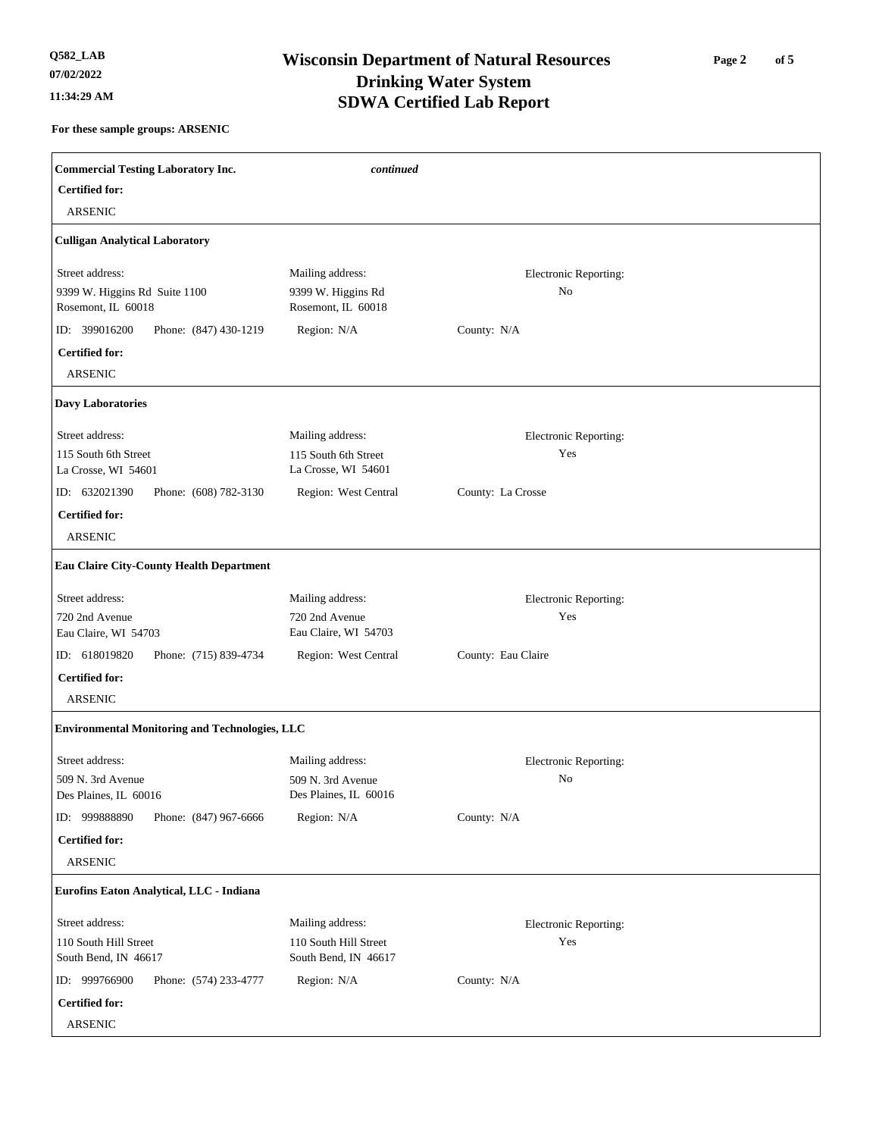### **Wisconsin Department of Natural Resources Q582\_LAB 11:34:29 AM SDWA Certified Lab Report Drinking Water System**

**For these sample groups: ARSENIC**

| <b>Commercial Testing Laboratory Inc.</b><br><b>Certified for:</b> | continued                                   |                       |  |
|--------------------------------------------------------------------|---------------------------------------------|-----------------------|--|
| <b>ARSENIC</b>                                                     |                                             |                       |  |
| <b>Culligan Analytical Laboratory</b>                              |                                             |                       |  |
| Street address:                                                    | Mailing address:                            | Electronic Reporting: |  |
| 9399 W. Higgins Rd Suite 1100<br>Rosemont, IL 60018                | 9399 W. Higgins Rd<br>Rosemont, IL 60018    | No                    |  |
| ID: 399016200<br>Phone: (847) 430-1219                             | Region: N/A                                 | County: N/A           |  |
| <b>Certified for:</b><br><b>ARSENIC</b>                            |                                             |                       |  |
| <b>Davy Laboratories</b>                                           |                                             |                       |  |
| Street address:                                                    | Mailing address:                            | Electronic Reporting: |  |
| 115 South 6th Street<br>La Crosse, WI 54601                        | 115 South 6th Street<br>La Crosse, WI 54601 | Yes                   |  |
| ID: 632021390<br>Phone: (608) 782-3130                             | Region: West Central                        | County: La Crosse     |  |
| <b>Certified for:</b><br><b>ARSENIC</b>                            |                                             |                       |  |
| <b>Eau Claire City-County Health Department</b>                    |                                             |                       |  |
| Street address:                                                    | Mailing address:                            | Electronic Reporting: |  |
| 720 2nd Avenue<br>Eau Claire, WI 54703                             | 720 2nd Avenue<br>Eau Claire, WI 54703      | Yes                   |  |
| ID: 618019820<br>Phone: (715) 839-4734                             | Region: West Central                        | County: Eau Claire    |  |
| <b>Certified for:</b><br><b>ARSENIC</b>                            |                                             |                       |  |

#### **Environmental Monitoring and Technologies, LLC**

**Certified for: Certified for:** 509 N. 3rd Avenue 110 South Hill Street 999888890 ID: 999766900 ID: 509 N. 3rd Avenue 110 South Hill Street Des Plaines, IL 60016 South Bend, IN 46617 Phone: (847) 967-6666 Phone: (574) 233-4777 Des Plaines, IL 60016 South Bend, IN 46617 Street address: Street address: Mailing address: Mailing address: **Eurofins Eaton Analytical, LLC - Indiana** Region: N/A Region: N/A County: N/A County: N/A Electronic Reporting: Electronic Reporting: No Yes ARSENIC ARSENIC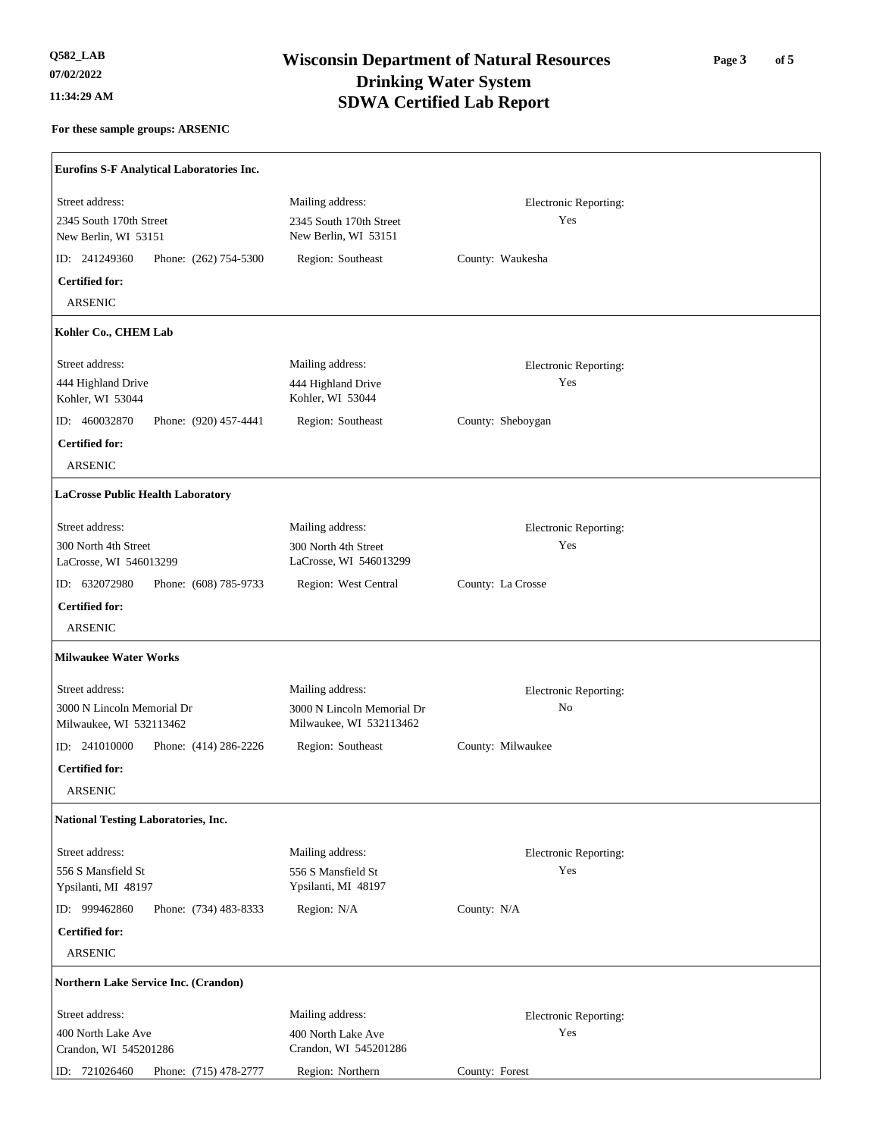**r** 

# **Wisconsin Department of Natural Resources Q582\_LAB 11:34:29 AM SDWA Certified Lab Report Drinking Water System**

### **Page 3 of 5**

| Street address:<br>Mailing address:<br>Electronic Reporting:<br>2345 South 170th Street<br>Yes<br>2345 South 170th Street<br>New Berlin, WI 53151<br>New Berlin, WI 53151<br>ID: 241249360<br>Phone: (262) 754-5300<br>Region: Southeast<br>County: Waukesha<br><b>Certified for:</b><br><b>ARSENIC</b><br>Kohler Co., CHEM Lab<br>Street address:<br>Mailing address:<br>Electronic Reporting:<br>Yes<br>444 Highland Drive<br>444 Highland Drive<br>Kohler, WI 53044<br>Kohler, WI 53044<br>ID: 460032870<br>Phone: (920) 457-4441<br>Region: Southeast<br>County: Sheboygan<br><b>Certified for:</b><br><b>ARSENIC</b><br><b>LaCrosse Public Health Laboratory</b><br>Street address:<br>Mailing address:<br>Electronic Reporting:<br>Yes<br>300 North 4th Street<br>300 North 4th Street<br>LaCrosse, WI 546013299<br>LaCrosse, WI 546013299<br>ID: 632072980<br>Phone: (608) 785-9733<br>Region: West Central<br>County: La Crosse<br><b>Certified for:</b><br><b>ARSENIC</b><br><b>Milwaukee Water Works</b><br>Street address:<br>Mailing address:<br>Electronic Reporting:<br>$\rm No$<br>3000 N Lincoln Memorial Dr<br>3000 N Lincoln Memorial Dr<br>Milwaukee, WI 532113462<br>Milwaukee, WI 532113462<br>ID: $241010000$<br>Phone: (414) 286-2226<br>Region: Southeast<br>County: Milwaukee<br><b>Certified for:</b><br><b>ARSENIC</b><br><b>National Testing Laboratories, Inc.</b><br>Street address:<br>Mailing address:<br>Electronic Reporting:<br>556 S Mansfield St<br>556 S Mansfield St<br>Yes<br>Ypsilanti, MI 48197<br>Ypsilanti, MI 48197<br>ID: 999462860<br>Phone: (734) 483-8333<br>Region: N/A<br>County: N/A<br><b>Certified for:</b><br><b>ARSENIC</b><br>Northern Lake Service Inc. (Crandon)<br>Street address:<br>Mailing address:<br>Electronic Reporting:<br>Yes<br>400 North Lake Ave<br>400 North Lake Ave<br>Crandon, WI 545201286<br>Crandon, WI 545201286<br>Region: Northern<br>County: Forest<br>ID: 721026460<br>Phone: (715) 478-2777 | Eurofins S-F Analytical Laboratories Inc. |  |  |
|----------------------------------------------------------------------------------------------------------------------------------------------------------------------------------------------------------------------------------------------------------------------------------------------------------------------------------------------------------------------------------------------------------------------------------------------------------------------------------------------------------------------------------------------------------------------------------------------------------------------------------------------------------------------------------------------------------------------------------------------------------------------------------------------------------------------------------------------------------------------------------------------------------------------------------------------------------------------------------------------------------------------------------------------------------------------------------------------------------------------------------------------------------------------------------------------------------------------------------------------------------------------------------------------------------------------------------------------------------------------------------------------------------------------------------------------------------------------------------------------------------------------------------------------------------------------------------------------------------------------------------------------------------------------------------------------------------------------------------------------------------------------------------------------------------------------------------------------------------------------------------------------------------------------------------------------------------------------------------|-------------------------------------------|--|--|
|                                                                                                                                                                                                                                                                                                                                                                                                                                                                                                                                                                                                                                                                                                                                                                                                                                                                                                                                                                                                                                                                                                                                                                                                                                                                                                                                                                                                                                                                                                                                                                                                                                                                                                                                                                                                                                                                                                                                                                                  |                                           |  |  |
|                                                                                                                                                                                                                                                                                                                                                                                                                                                                                                                                                                                                                                                                                                                                                                                                                                                                                                                                                                                                                                                                                                                                                                                                                                                                                                                                                                                                                                                                                                                                                                                                                                                                                                                                                                                                                                                                                                                                                                                  |                                           |  |  |
|                                                                                                                                                                                                                                                                                                                                                                                                                                                                                                                                                                                                                                                                                                                                                                                                                                                                                                                                                                                                                                                                                                                                                                                                                                                                                                                                                                                                                                                                                                                                                                                                                                                                                                                                                                                                                                                                                                                                                                                  |                                           |  |  |
|                                                                                                                                                                                                                                                                                                                                                                                                                                                                                                                                                                                                                                                                                                                                                                                                                                                                                                                                                                                                                                                                                                                                                                                                                                                                                                                                                                                                                                                                                                                                                                                                                                                                                                                                                                                                                                                                                                                                                                                  |                                           |  |  |
|                                                                                                                                                                                                                                                                                                                                                                                                                                                                                                                                                                                                                                                                                                                                                                                                                                                                                                                                                                                                                                                                                                                                                                                                                                                                                                                                                                                                                                                                                                                                                                                                                                                                                                                                                                                                                                                                                                                                                                                  |                                           |  |  |
|                                                                                                                                                                                                                                                                                                                                                                                                                                                                                                                                                                                                                                                                                                                                                                                                                                                                                                                                                                                                                                                                                                                                                                                                                                                                                                                                                                                                                                                                                                                                                                                                                                                                                                                                                                                                                                                                                                                                                                                  |                                           |  |  |
|                                                                                                                                                                                                                                                                                                                                                                                                                                                                                                                                                                                                                                                                                                                                                                                                                                                                                                                                                                                                                                                                                                                                                                                                                                                                                                                                                                                                                                                                                                                                                                                                                                                                                                                                                                                                                                                                                                                                                                                  |                                           |  |  |
|                                                                                                                                                                                                                                                                                                                                                                                                                                                                                                                                                                                                                                                                                                                                                                                                                                                                                                                                                                                                                                                                                                                                                                                                                                                                                                                                                                                                                                                                                                                                                                                                                                                                                                                                                                                                                                                                                                                                                                                  |                                           |  |  |
|                                                                                                                                                                                                                                                                                                                                                                                                                                                                                                                                                                                                                                                                                                                                                                                                                                                                                                                                                                                                                                                                                                                                                                                                                                                                                                                                                                                                                                                                                                                                                                                                                                                                                                                                                                                                                                                                                                                                                                                  |                                           |  |  |
|                                                                                                                                                                                                                                                                                                                                                                                                                                                                                                                                                                                                                                                                                                                                                                                                                                                                                                                                                                                                                                                                                                                                                                                                                                                                                                                                                                                                                                                                                                                                                                                                                                                                                                                                                                                                                                                                                                                                                                                  |                                           |  |  |
|                                                                                                                                                                                                                                                                                                                                                                                                                                                                                                                                                                                                                                                                                                                                                                                                                                                                                                                                                                                                                                                                                                                                                                                                                                                                                                                                                                                                                                                                                                                                                                                                                                                                                                                                                                                                                                                                                                                                                                                  |                                           |  |  |
|                                                                                                                                                                                                                                                                                                                                                                                                                                                                                                                                                                                                                                                                                                                                                                                                                                                                                                                                                                                                                                                                                                                                                                                                                                                                                                                                                                                                                                                                                                                                                                                                                                                                                                                                                                                                                                                                                                                                                                                  |                                           |  |  |
|                                                                                                                                                                                                                                                                                                                                                                                                                                                                                                                                                                                                                                                                                                                                                                                                                                                                                                                                                                                                                                                                                                                                                                                                                                                                                                                                                                                                                                                                                                                                                                                                                                                                                                                                                                                                                                                                                                                                                                                  |                                           |  |  |
|                                                                                                                                                                                                                                                                                                                                                                                                                                                                                                                                                                                                                                                                                                                                                                                                                                                                                                                                                                                                                                                                                                                                                                                                                                                                                                                                                                                                                                                                                                                                                                                                                                                                                                                                                                                                                                                                                                                                                                                  |                                           |  |  |
|                                                                                                                                                                                                                                                                                                                                                                                                                                                                                                                                                                                                                                                                                                                                                                                                                                                                                                                                                                                                                                                                                                                                                                                                                                                                                                                                                                                                                                                                                                                                                                                                                                                                                                                                                                                                                                                                                                                                                                                  |                                           |  |  |
|                                                                                                                                                                                                                                                                                                                                                                                                                                                                                                                                                                                                                                                                                                                                                                                                                                                                                                                                                                                                                                                                                                                                                                                                                                                                                                                                                                                                                                                                                                                                                                                                                                                                                                                                                                                                                                                                                                                                                                                  |                                           |  |  |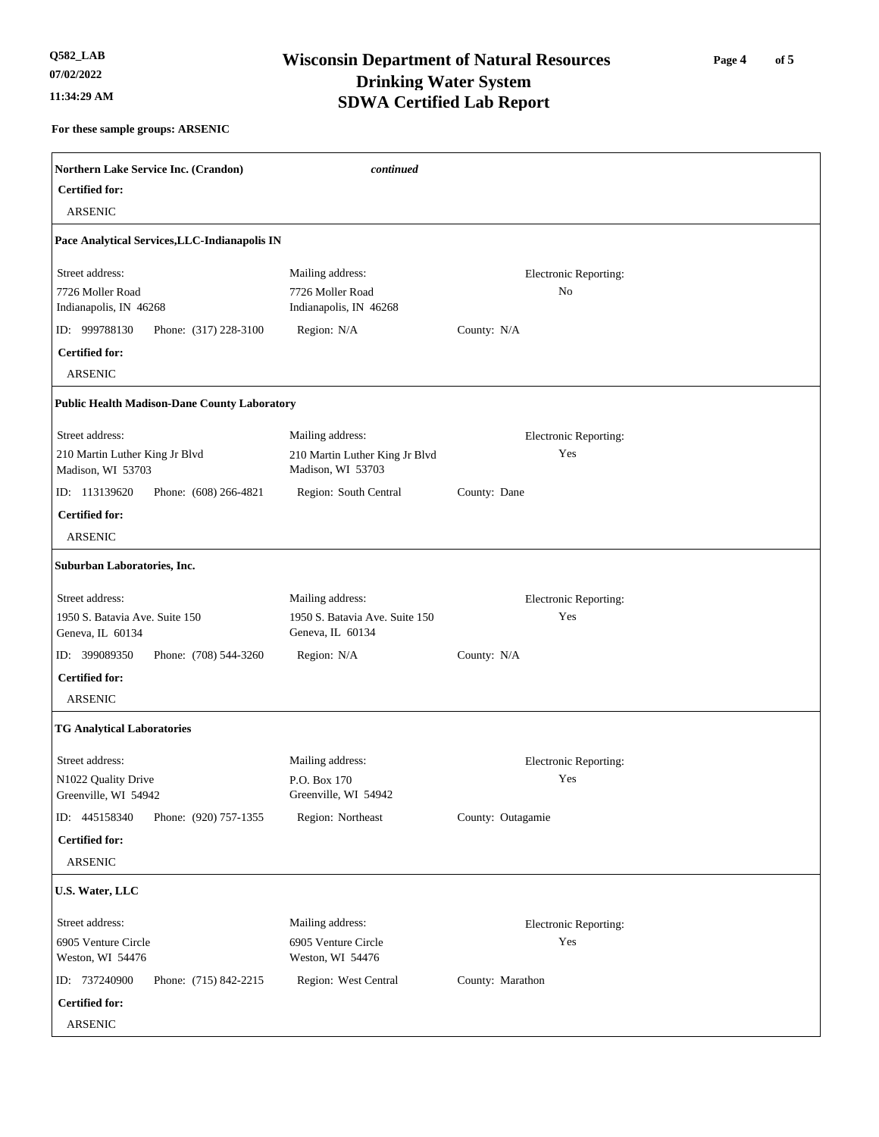# **Wisconsin Department of Natural Resources Q582\_LAB 11:34:29 AM SDWA Certified Lab Report Drinking Water System**

**Page 4 of 5** 

| Northern Lake Service Inc. (Crandon)                          | continued                                                      |                             |  |
|---------------------------------------------------------------|----------------------------------------------------------------|-----------------------------|--|
| <b>Certified for:</b><br><b>ARSENIC</b>                       |                                                                |                             |  |
|                                                               |                                                                |                             |  |
| Pace Analytical Services, LLC-Indianapolis IN                 |                                                                |                             |  |
| Street address:<br>7726 Moller Road<br>Indianapolis, IN 46268 | Mailing address:<br>7726 Moller Road<br>Indianapolis, IN 46268 | Electronic Reporting:<br>No |  |
| ID: 999788130<br>Phone: (317) 228-3100                        | Region: N/A                                                    | County: N/A                 |  |
| <b>Certified for:</b>                                         |                                                                |                             |  |
| <b>ARSENIC</b>                                                |                                                                |                             |  |
| <b>Public Health Madison-Dane County Laboratory</b>           |                                                                |                             |  |
| Street address:                                               | Mailing address:                                               | Electronic Reporting:       |  |
| 210 Martin Luther King Jr Blvd<br>Madison, WI 53703           | 210 Martin Luther King Jr Blvd<br>Madison, WI 53703            | Yes                         |  |
| ID: 113139620<br>Phone: (608) 266-4821                        | Region: South Central                                          | County: Dane                |  |
| <b>Certified for:</b>                                         |                                                                |                             |  |
| <b>ARSENIC</b>                                                |                                                                |                             |  |
| Suburban Laboratories, Inc.                                   |                                                                |                             |  |
| Street address:                                               | Mailing address:                                               | Electronic Reporting:       |  |
| 1950 S. Batavia Ave. Suite 150<br>Geneva, IL 60134            | 1950 S. Batavia Ave. Suite 150<br>Geneva, IL 60134             | Yes                         |  |
| ID: 399089350<br>Phone: (708) 544-3260                        | Region: N/A                                                    | County: N/A                 |  |
| <b>Certified for:</b>                                         |                                                                |                             |  |
| <b>ARSENIC</b>                                                |                                                                |                             |  |
| <b>TG Analytical Laboratories</b>                             |                                                                |                             |  |
| Street address:                                               | Mailing address:                                               | Electronic Reporting:       |  |
| N1022 Quality Drive<br>Greenville, WI 54942                   | P.O. Box 170<br>Greenville, WI 54942                           | Yes                         |  |
| ID: 445158340<br>Phone: (920) 757-1355                        | Region: Northeast                                              | County: Outagamie           |  |
| <b>Certified for:</b>                                         |                                                                |                             |  |
| ARSENIC                                                       |                                                                |                             |  |
| U.S. Water, LLC                                               |                                                                |                             |  |
| Street address:                                               | Mailing address:                                               | Electronic Reporting:       |  |
| 6905 Venture Circle                                           | 6905 Venture Circle                                            | Yes                         |  |
| Weston, WI 54476                                              | Weston, WI 54476                                               |                             |  |
| ID: 737240900<br>Phone: (715) 842-2215                        | Region: West Central                                           | County: Marathon            |  |
| <b>Certified for:</b>                                         |                                                                |                             |  |
| ARSENIC                                                       |                                                                |                             |  |